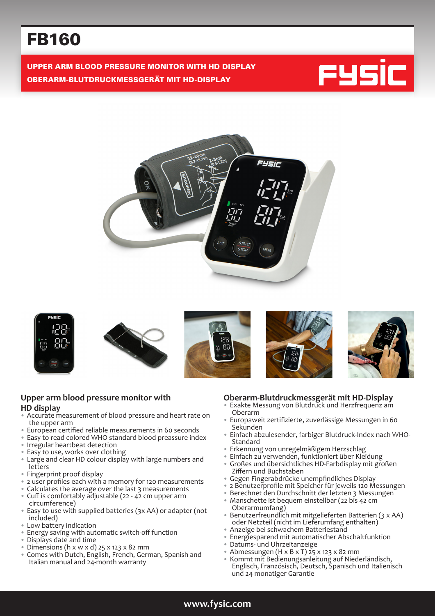# FB160

UPPER ARM BLOOD PRESSURE MONITOR WITH HD DISPLAY OBERARM-BLUTDRUCKMESSGERÄT MIT HD-DISPLAY















#### **Upper arm blood pressure monitor with HD display**

- Accurate measurement of blood pressure and heart rate on the upper arm
- European certified reliable measurements in 60 seconds
- Easy to read colored WHO standard blood preassure index
- Irregular heartbeat detection
- Easy to use, works over clothing
- Large and clear HD colour display with large numbers and letters
- Fingerprint proof display
- 2 user profiles each with a memory for 120 measurements
- Calculates the average over the last 3 measurements • Cuff is comfortably adjustable (22 - 42 cm upper arm
- circumference) • Easy to use with supplied batteries (3x AA) or adapter (not included)
- Low battery indication<br>• Fnergy saving with aut
- Energy saving with automatic switch-off function<br>• Displays date and time
- Displays date and time
- Dimensions (h x w x d) 25 x 123 x 82 mm
- Comes with Dutch, English, French, German, Spanish and Italian manual and 24-month warranty

#### **Oberarm-Blutdruckmessgerät mit HD-Display**

- Exakte Messung von Blutdruck und Herzfrequenz am Oberarm
- Europaweit zertifizierte, zuverlässige Messungen in 60 Sekunden
- Einfach abzulesender, farbiger Blutdruck-Index nach WHO-Standard
- Erkennung von unregelmäßigem Herzschlag
- Einfach zu verwenden, funktioniert über Kleidung
- Großes und übersichtliches HD-Farbdisplay mit großen Ziffern und Buchstaben
- Gegen Fingerabdrücke unempfindliches Display
- 2 Benutzerprofile mit Speicher für jeweils 120 Messungen
- Berechnet den Durchschnitt der letzten 3 Messungen
- Manschette ist bequem einstellbar (22 bis 42 cm Oberarmumfang)
- Benutzerfreundlich mit mitgelieferten Batterien (3 x AA) oder Netzteil (nicht im Lieferumfang enthalten)
- Anzeige bei schwachem Batteriestand
- Energiesparend mit automatischer Abschaltfunktion
- Datums- und Uhrzeitanzeige
- Abmessungen (H x B x T)  $25 \times 123 \times 82$  mm
- Kommt mit Bedienungsanleitung auf Niederländisch, Englisch, Französisch, Deutsch, Spanisch und Italienisch und 24-monatiger Garantie

# **www.fysic.com**